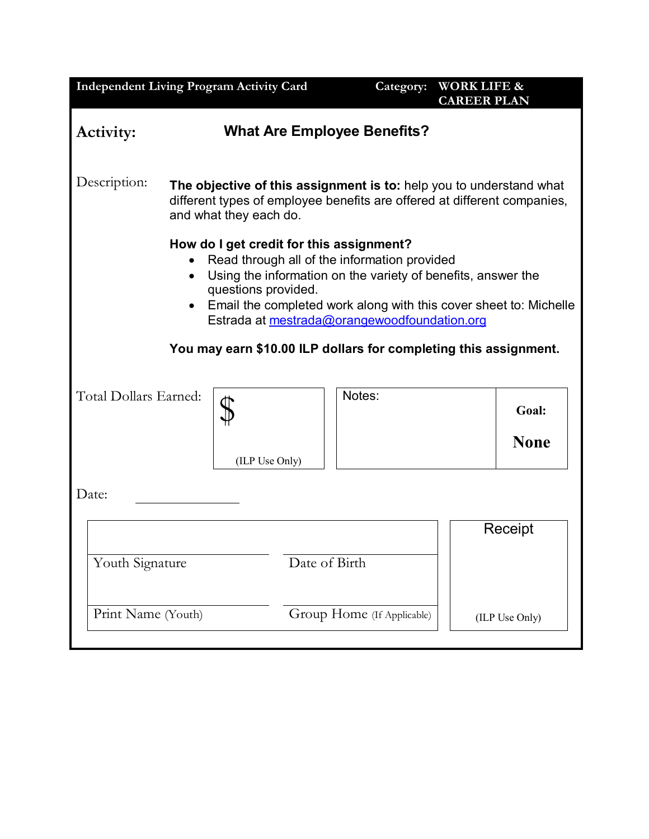| <b>Independent Living Program Activity Card</b>                                                                                                                                                                                                                                                                                                                                                    |                                                                                                                                                                           |                |                            | Category: | <b>WORK LIFE &amp;</b><br><b>CAREER PLAN</b> |                      |
|----------------------------------------------------------------------------------------------------------------------------------------------------------------------------------------------------------------------------------------------------------------------------------------------------------------------------------------------------------------------------------------------------|---------------------------------------------------------------------------------------------------------------------------------------------------------------------------|----------------|----------------------------|-----------|----------------------------------------------|----------------------|
| <b>What Are Employee Benefits?</b><br>Activity:                                                                                                                                                                                                                                                                                                                                                    |                                                                                                                                                                           |                |                            |           |                                              |                      |
| Description:                                                                                                                                                                                                                                                                                                                                                                                       | The objective of this assignment is to: help you to understand what<br>different types of employee benefits are offered at different companies,<br>and what they each do. |                |                            |           |                                              |                      |
| How do I get credit for this assignment?<br>Read through all of the information provided<br>Using the information on the variety of benefits, answer the<br>$\bullet$<br>questions provided.<br>Email the completed work along with this cover sheet to: Michelle<br>$\bullet$<br>Estrada at mestrada@orangewoodfoundation.org<br>You may earn \$10.00 ILP dollars for completing this assignment. |                                                                                                                                                                           |                |                            |           |                                              |                      |
| Total Dollars Earned:                                                                                                                                                                                                                                                                                                                                                                              |                                                                                                                                                                           | (ILP Use Only) |                            | Notes:    |                                              | Goal:<br><b>None</b> |
| Date:                                                                                                                                                                                                                                                                                                                                                                                              |                                                                                                                                                                           |                |                            |           |                                              |                      |
| Youth Signature                                                                                                                                                                                                                                                                                                                                                                                    |                                                                                                                                                                           |                | Date of Birth              |           |                                              | Receipt              |
| Print Name (Youth)                                                                                                                                                                                                                                                                                                                                                                                 |                                                                                                                                                                           |                | Group Home (If Applicable) |           |                                              | (ILP Use Only)       |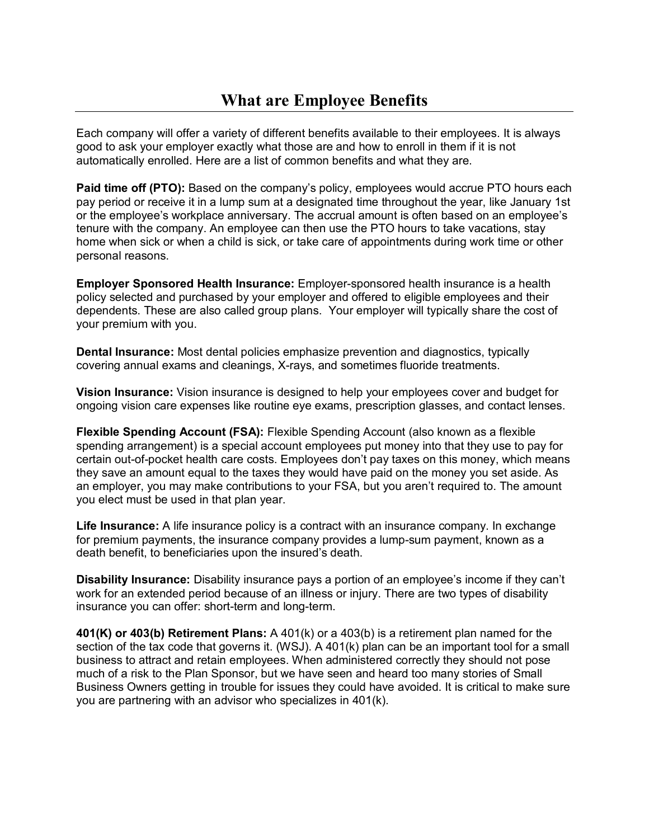Each company will offer a variety of different benefits available to their employees. It is always good to ask your employer exactly what those are and how to enroll in them if it is not automatically enrolled. Here are a list of common benefits and what they are.

**Paid time off (PTO):** Based on the company's policy, employees would accrue PTO hours each pay period or receive it in a lump sum at a designated time throughout the year, like January 1st or the employee's workplace anniversary. The accrual amount is often based on an employee's tenure with the company. An employee can then use the PTO hours to take vacations, stay home when sick or when a child is sick, or take care of appointments during work time or other personal reasons.

**Employer Sponsored Health Insurance:** Employer-sponsored health insurance is a health policy selected and purchased by your employer and offered to eligible employees and their dependents. These are also called group plans. Your employer will typically share the cost of your premium with you.

**Dental Insurance:** Most dental policies emphasize prevention and diagnostics, typically covering annual exams and cleanings, X-rays, and sometimes fluoride treatments.

**Vision Insurance:** Vision insurance is designed to help your employees cover and budget for ongoing vision care expenses like routine eye exams, prescription glasses, and contact lenses.

**Flexible Spending Account (FSA):** Flexible Spending Account (also known as a flexible spending arrangement) is a special account employees put money into that they use to pay for certain out-of-pocket health care costs. Employees don't pay taxes on this money, which means they save an amount equal to the taxes they would have paid on the money you set aside. As an employer, you may make contributions to your FSA, but you aren't required to. The amount you elect must be used in that plan year.

**Life Insurance:** A life insurance policy is a contract with an insurance company. In exchange for premium payments, the insurance company provides a lump-sum payment, known as a death benefit, to beneficiaries upon the insured's death.

**Disability Insurance:** Disability insurance pays a portion of an employee's income if they can't work for an extended period because of an illness or injury. There are two types of disability insurance you can offer: short-term and long-term.

**401(K) or 403(b) Retirement Plans:** A 401(k) or a 403(b) is a retirement plan named for the section of the tax code that governs it. (WSJ). A 401(k) plan can be an important tool for a small business to attract and retain employees. When administered correctly they should not pose much of a risk to the Plan Sponsor, but we have seen and heard too many stories of Small Business Owners getting in trouble for issues they could have avoided. It is critical to make sure you are partnering with an advisor who specializes in 401(k).